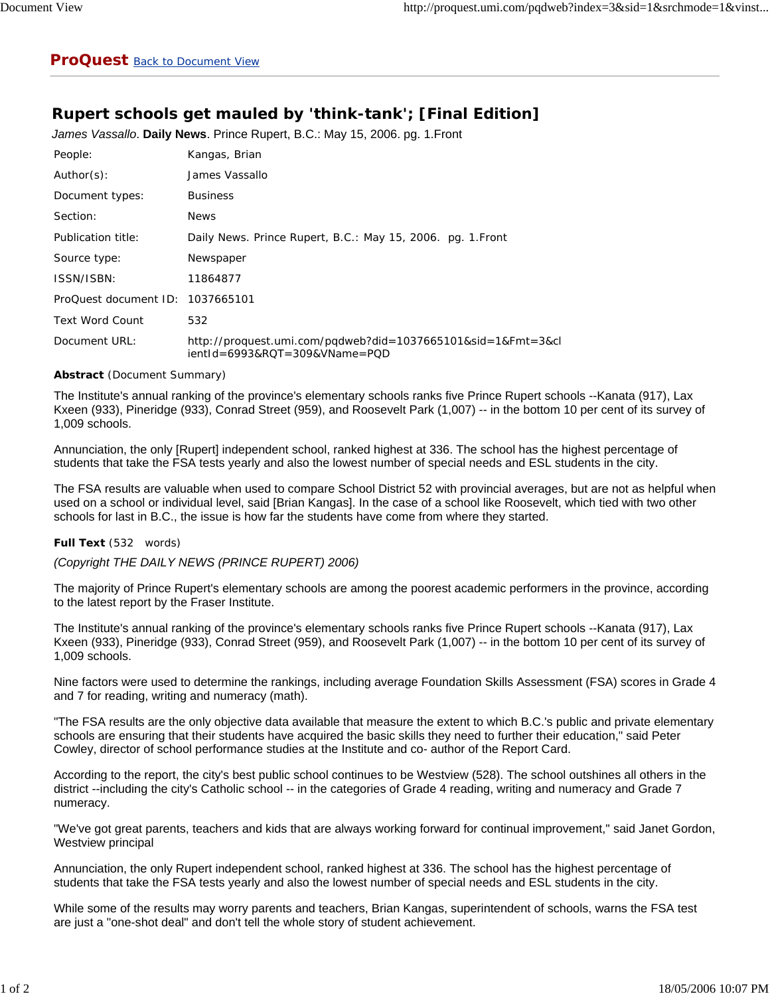## **Rupert schools get mauled by 'think-tank'; [Final Edition]**

*James Vassallo*. **Daily News**. Prince Rupert, B.C.: May 15, 2006. pg. 1.Front

| People:                          | Kangas, Brian                                                                                 |
|----------------------------------|-----------------------------------------------------------------------------------------------|
| Author(s):                       | James Vassallo                                                                                |
| Document types:                  | <b>Business</b>                                                                               |
| Section:                         | <b>News</b>                                                                                   |
| Publication title:               | Daily News. Prince Rupert, B.C.: May 15, 2006. pg. 1. Front                                   |
| Source type:                     | Newspaper                                                                                     |
| ISSN/ISBN:                       | 11864877                                                                                      |
| ProQuest document ID: 1037665101 |                                                                                               |
| <b>Text Word Count</b>           | 532                                                                                           |
| Document URL:                    | http://proquest.umi.com/pqdweb?did=1037665101&sid=1&Fmt=3&cl<br>ientId=6993&RQT=309&VName=PQD |

## **Abstract** (Document Summary)

The Institute's annual ranking of the province's elementary schools ranks five Prince Rupert schools --Kanata (917), Lax Kxeen (933), Pineridge (933), Conrad Street (959), and Roosevelt Park (1,007) -- in the bottom 10 per cent of its survey of 1,009 schools.

Annunciation, the only [Rupert] independent school, ranked highest at 336. The school has the highest percentage of students that take the FSA tests yearly and also the lowest number of special needs and ESL students in the city.

The FSA results are valuable when used to compare School District 52 with provincial averages, but are not as helpful when used on a school or individual level, said [Brian Kangas]. In the case of a school like Roosevelt, which tied with two other schools for last in B.C., the issue is how far the students have come from where they started.

## **Full Text** (532 words)

*(Copyright THE DAILY NEWS (PRINCE RUPERT) 2006)*

The majority of Prince Rupert's elementary schools are among the poorest academic performers in the province, according to the latest report by the Fraser Institute.

The Institute's annual ranking of the province's elementary schools ranks five Prince Rupert schools --Kanata (917), Lax Kxeen (933), Pineridge (933), Conrad Street (959), and Roosevelt Park (1,007) -- in the bottom 10 per cent of its survey of 1,009 schools.

Nine factors were used to determine the rankings, including average Foundation Skills Assessment (FSA) scores in Grade 4 and 7 for reading, writing and numeracy (math).

"The FSA results are the only objective data available that measure the extent to which B.C.'s public and private elementary schools are ensuring that their students have acquired the basic skills they need to further their education," said Peter Cowley, director of school performance studies at the Institute and co- author of the Report Card.

According to the report, the city's best public school continues to be Westview (528). The school outshines all others in the district --including the city's Catholic school -- in the categories of Grade 4 reading, writing and numeracy and Grade 7 numeracy.

"We've got great parents, teachers and kids that are always working forward for continual improvement," said Janet Gordon, Westview principal

Annunciation, the only Rupert independent school, ranked highest at 336. The school has the highest percentage of students that take the FSA tests yearly and also the lowest number of special needs and ESL students in the city.

While some of the results may worry parents and teachers, Brian Kangas, superintendent of schools, warns the FSA test are just a "one-shot deal" and don't tell the whole story of student achievement.